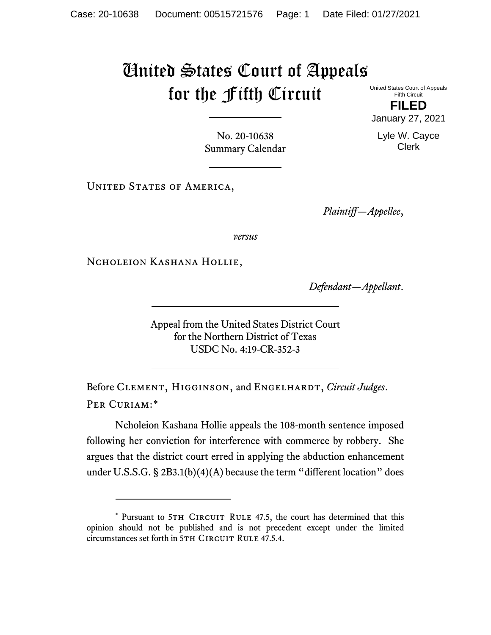## United States Court of Appeals for the Fifth Circuit

United States Court of Appeals Fifth Circuit **FILED**

January 27, 2021

Lyle W. Cayce Clerk

No. 20-10638 Summary Calendar

UNITED STATES OF AMERICA,

*Plaintiff—Appellee*,

*versus*

Ncholeion Kashana Hollie,

*Defendant—Appellant*.

Appeal from the United States District Court for the Northern District of Texas USDC No. 4:19-CR-352-3

Before CLEMENT, HIGGINSON, and ENGELHARDT, *Circuit Judges*. Per Curiam:[\\*](#page-0-0)

Ncholeion Kashana Hollie appeals the 108-month sentence imposed following her conviction for interference with commerce by robbery. She argues that the district court erred in applying the abduction enhancement under U.S.S.G. § 2B3.1(b)(4)(A) because the term "different location" does

<span id="page-0-0"></span><sup>\*</sup> Pursuant to 5TH CIRCUIT RULE 47.5, the court has determined that this opinion should not be published and is not precedent except under the limited circumstances set forth in 5TH CIRCUIT RULE 47.5.4.